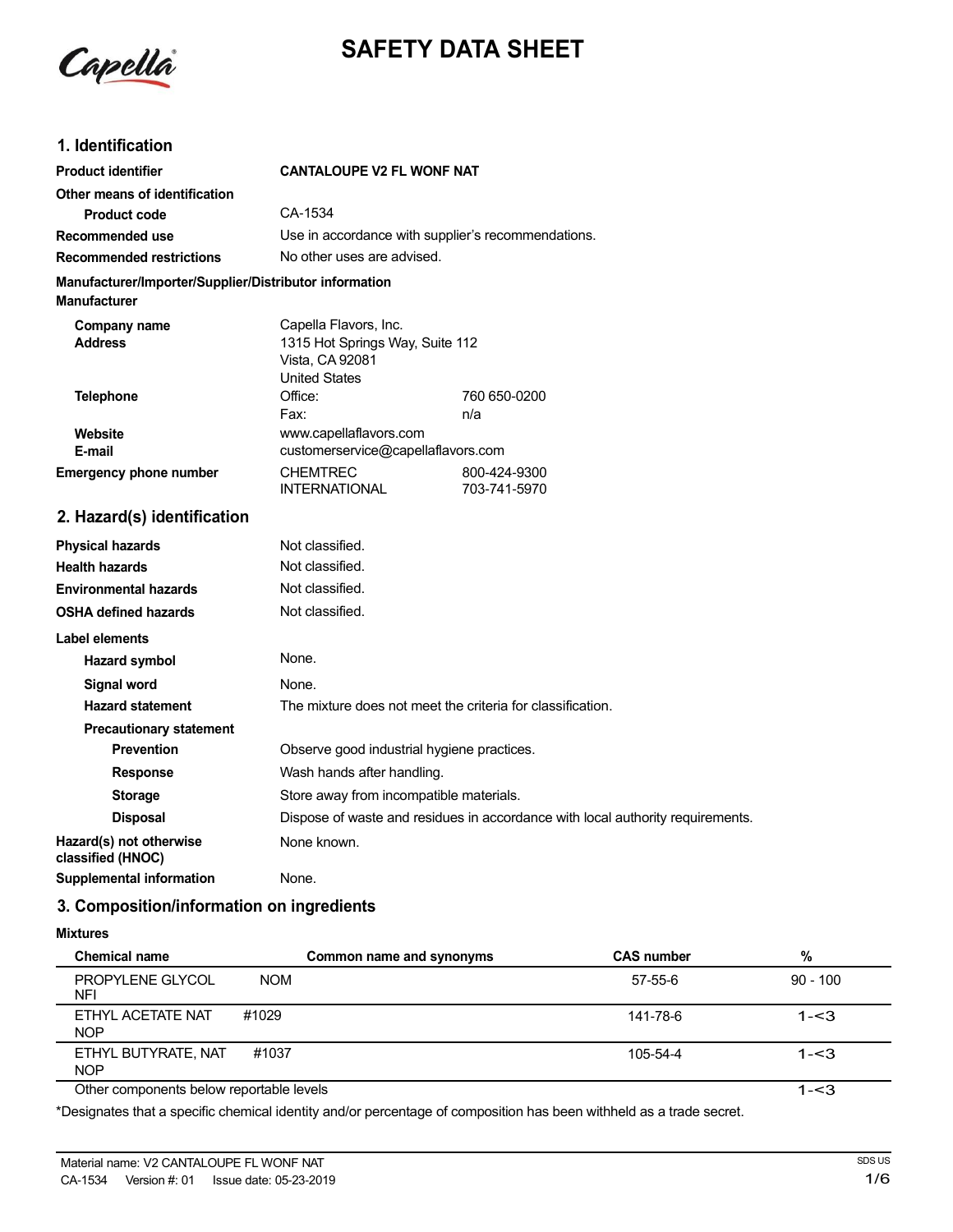Capella

# **SAFETY DATA SHEET**

# **1. Identification**

| <b>Product identifier</b>                                                     | <b>CANTALOUPE V2 FL WONF NAT</b>                                                                    |              |
|-------------------------------------------------------------------------------|-----------------------------------------------------------------------------------------------------|--------------|
| Other means of identification                                                 |                                                                                                     |              |
| <b>Product code</b>                                                           | CA-1534                                                                                             |              |
| Recommended use                                                               | Use in accordance with supplier's recommendations.                                                  |              |
| <b>Recommended restrictions</b>                                               | No other uses are advised.                                                                          |              |
| Manufacturer/Importer/Supplier/Distributor information<br><b>Manufacturer</b> |                                                                                                     |              |
| Company name<br><b>Address</b>                                                | Capella Flavors, Inc.<br>1315 Hot Springs Way, Suite 112<br>Vista, CA 92081<br><b>United States</b> |              |
| <b>Telephone</b>                                                              | Office:                                                                                             | 760 650-0200 |
|                                                                               | Fax:                                                                                                | n/a          |
| Website<br>E-mail                                                             | www.capellaflavors.com<br>customerservice@capellaflavors.com                                        |              |
| <b>Emergency phone number</b>                                                 | <b>CHEMTREC</b>                                                                                     | 800-424-9300 |
|                                                                               | <b>INTERNATIONAL</b>                                                                                | 703-741-5970 |
| 2. Hazard(s) identification                                                   |                                                                                                     |              |
| <b>Physical hazards</b>                                                       | Not classified.                                                                                     |              |
| <b>Health hazards</b>                                                         | Not classified.                                                                                     |              |
| <b>Environmental hazards</b>                                                  | Not classified.                                                                                     |              |
| <b>OSHA defined hazards</b>                                                   | Not classified.                                                                                     |              |
| <b>Label elements</b>                                                         |                                                                                                     |              |
| <b>Hazard symbol</b>                                                          | None.                                                                                               |              |
| Signal word                                                                   | None.                                                                                               |              |
| <b>Hazard statement</b>                                                       | The mixture does not meet the criteria for classification.                                          |              |
| <b>Precautionary statement</b>                                                |                                                                                                     |              |
| <b>Prevention</b>                                                             | Observe good industrial hygiene practices.                                                          |              |
| <b>D</b> ---                                                                  | المعتزالة وتعرفها وتملكم بمامسونها والمعارفة                                                        |              |

**Response** Wash hands after handling. **Storage** Store away from incompatible materials. **Disposal** Dispose of waste and residues in accordance with local authority requirements. **Hazard(s)** not otherwise None known. **classified (HNOC)**

**Supplemental information** None.

# **3. Composition/information on ingredients**

# **Mixtures**

| <b>Chemical name</b>                     | Common name and synonyms | <b>CAS number</b> | %          |
|------------------------------------------|--------------------------|-------------------|------------|
| <b>PROPYLENE GLYCOL</b><br>NFI           | <b>NOM</b>               | $57 - 55 - 6$     | $90 - 100$ |
| ETHYL ACETATE NAT<br><b>NOP</b>          | #1029                    | 141-78-6          | $1 - 3$    |
| ETHYL BUTYRATE, NAT<br><b>NOP</b>        | #1037                    | $105 - 54 - 4$    | $1 - 3$    |
| Other components below reportable levels |                          |                   | $1 - 3$    |

\*Designates that a specific chemical identity and/or percentage of composition has been withheld as a trade secret.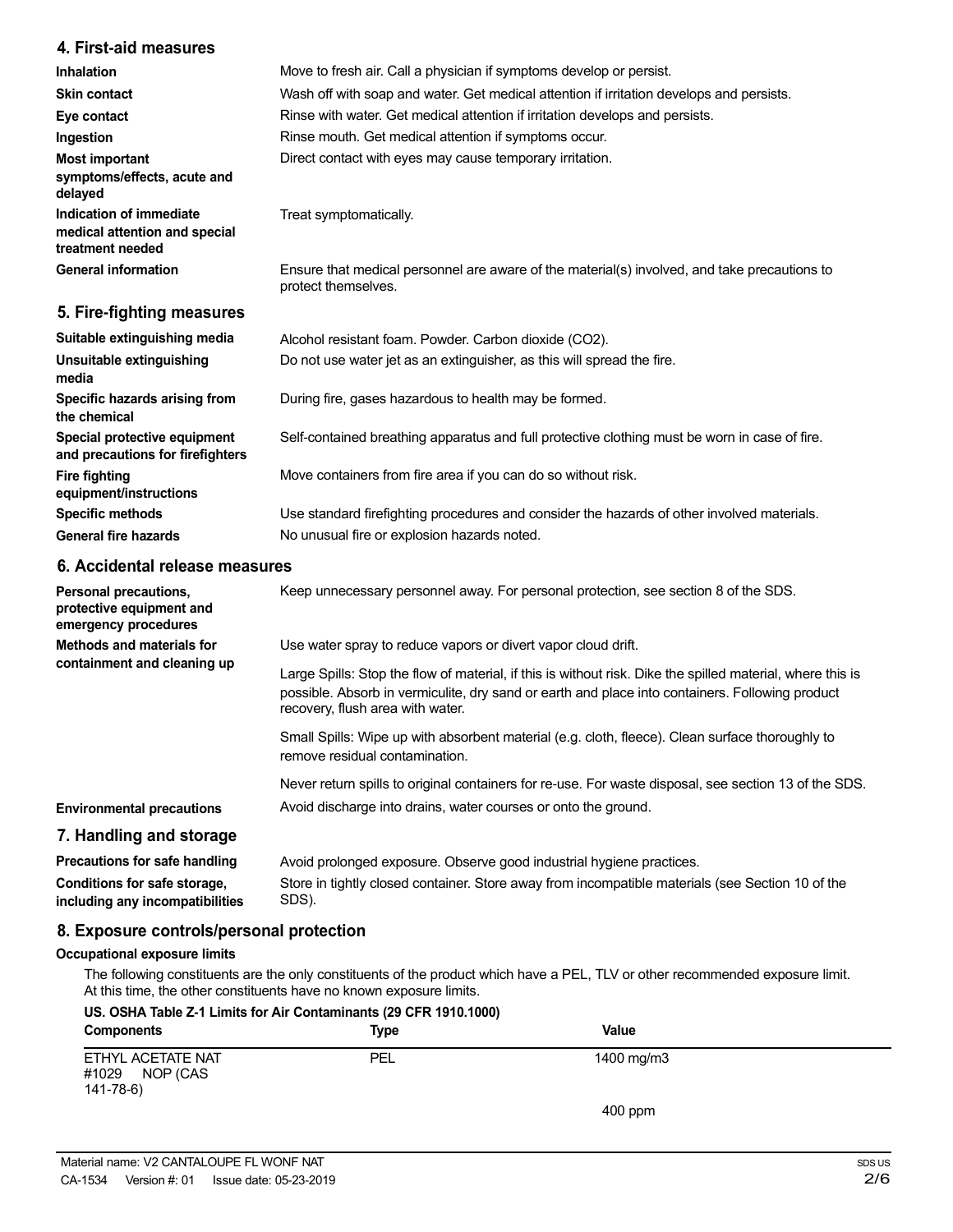# **4. First-aid measures**

| <b>Inhalation</b>                                                            | Move to fresh air. Call a physician if symptoms develop or persist.                                                 |
|------------------------------------------------------------------------------|---------------------------------------------------------------------------------------------------------------------|
| <b>Skin contact</b>                                                          | Wash off with soap and water. Get medical attention if irritation develops and persists.                            |
| Eye contact                                                                  | Rinse with water. Get medical attention if irritation develops and persists.                                        |
| Ingestion                                                                    | Rinse mouth. Get medical attention if symptoms occur.                                                               |
| <b>Most important</b><br>symptoms/effects, acute and<br>delayed              | Direct contact with eyes may cause temporary irritation.                                                            |
| Indication of immediate<br>medical attention and special<br>treatment needed | Treat symptomatically.                                                                                              |
| <b>General information</b>                                                   | Ensure that medical personnel are aware of the material(s) involved, and take precautions to<br>protect themselves. |
| 5. Fire-fighting measures                                                    |                                                                                                                     |
|                                                                              |                                                                                                                     |

| Suitable extinguishing media                                     | Alcohol resistant foam. Powder. Carbon dioxide (CO2).                                         |
|------------------------------------------------------------------|-----------------------------------------------------------------------------------------------|
| Unsuitable extinguishing<br>media                                | Do not use water jet as an extinguisher, as this will spread the fire.                        |
| Specific hazards arising from<br>the chemical                    | During fire, gases hazardous to health may be formed.                                         |
| Special protective equipment<br>and precautions for firefighters | Self-contained breathing apparatus and full protective clothing must be worn in case of fire. |
| <b>Fire fighting</b><br>equipment/instructions                   | Move containers from fire area if you can do so without risk.                                 |
| <b>Specific methods</b>                                          | Use standard firefighting procedures and consider the hazards of other involved materials.    |
| <b>General fire hazards</b>                                      | No unusual fire or explosion hazards noted.                                                   |
|                                                                  |                                                                                               |

# **6. Accidental release measures**

| Personal precautions,<br>protective equipment and<br>emergency procedures | Keep unnecessary personnel away. For personal protection, see section 8 of the SDS.                                                                                                                                                               |
|---------------------------------------------------------------------------|---------------------------------------------------------------------------------------------------------------------------------------------------------------------------------------------------------------------------------------------------|
| Methods and materials for<br>containment and cleaning up                  | Use water spray to reduce vapors or divert vapor cloud drift.                                                                                                                                                                                     |
|                                                                           | Large Spills: Stop the flow of material, if this is without risk. Dike the spilled material, where this is<br>possible. Absorb in vermiculite, dry sand or earth and place into containers. Following product<br>recovery, flush area with water. |
|                                                                           | Small Spills: Wipe up with absorbent material (e.g. cloth, fleece). Clean surface thoroughly to<br>remove residual contamination.                                                                                                                 |
|                                                                           | Never return spills to original containers for re-use. For waste disposal, see section 13 of the SDS.                                                                                                                                             |
| <b>Environmental precautions</b>                                          | Avoid discharge into drains, water courses or onto the ground.                                                                                                                                                                                    |
| 7. Handling and storage                                                   |                                                                                                                                                                                                                                                   |
| Precautions for safe handling                                             | Avoid prolonged exposure. Observe good industrial hygiene practices.                                                                                                                                                                              |
| Conditions for safe storage,<br>including any incompatibilities           | Store in tightly closed container. Store away from incompatible materials (see Section 10 of the<br>SDS).                                                                                                                                         |

# **8. Exposure controls/personal protection**

# **Occupational exposure limits**

The following constituents are the only constituents of the product which have a PEL, TLV or other recommended exposure limit. At this time, the other constituents have no known exposure limits.

| <b>Components</b>                                   | Type | Value      |  |
|-----------------------------------------------------|------|------------|--|
| ETHYL ACETATE NAT<br>#1029<br>NOP (CAS<br>141-78-6) | PEL  | 1400 mg/m3 |  |
|                                                     |      | $400$ ppm  |  |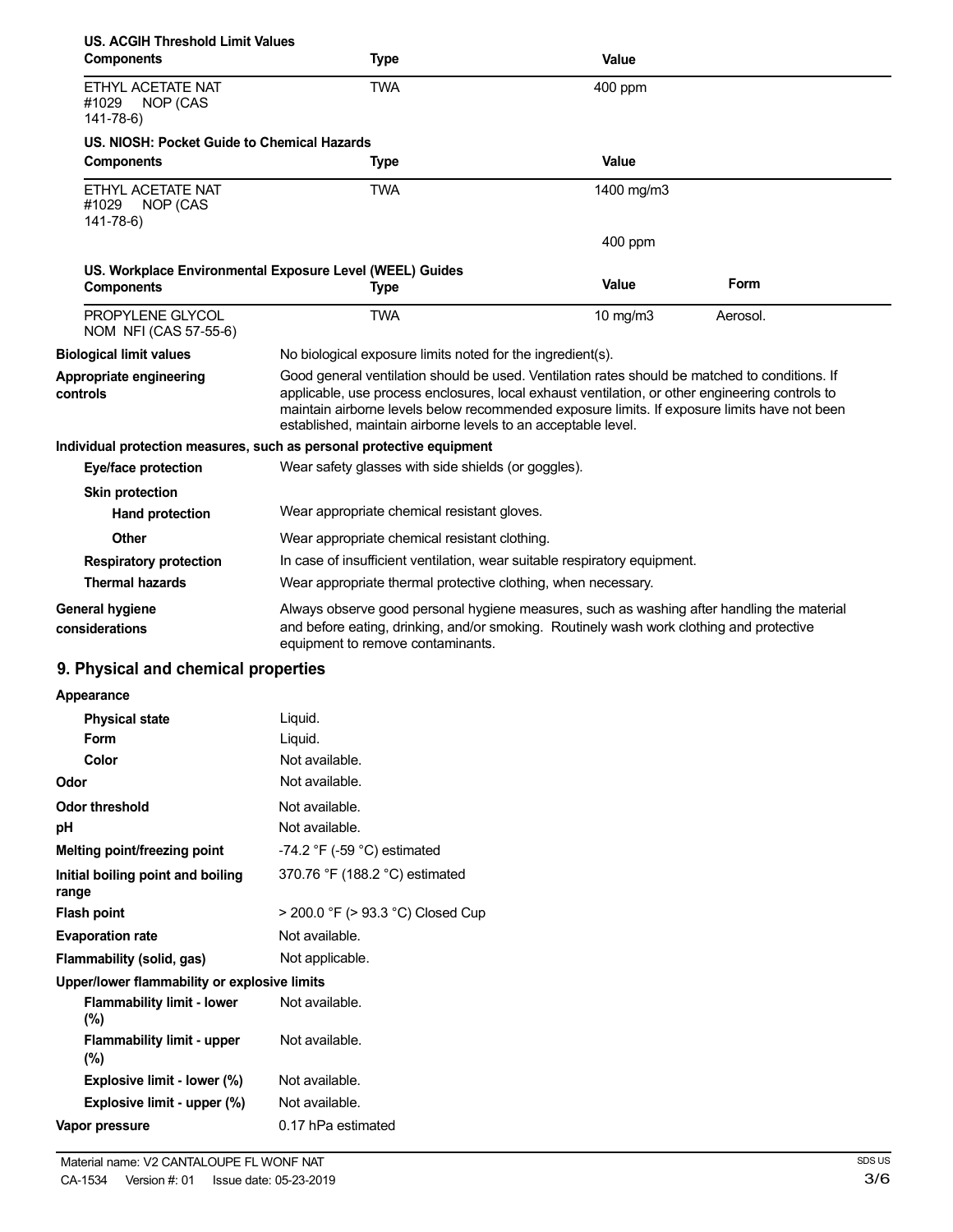| <b>US. ACGIH Threshold Limit Values</b><br><b>Components</b> | <b>Type</b>                                                                                                                                                                                                                                                                                                                                                        | <b>Value</b> |          |
|--------------------------------------------------------------|--------------------------------------------------------------------------------------------------------------------------------------------------------------------------------------------------------------------------------------------------------------------------------------------------------------------------------------------------------------------|--------------|----------|
| ETHYL ACETATE NAT<br>#1029<br>NOP (CAS<br>$141 - 78 - 6$     | <b>TWA</b>                                                                                                                                                                                                                                                                                                                                                         | 400 ppm      |          |
| US. NIOSH: Pocket Guide to Chemical Hazards                  |                                                                                                                                                                                                                                                                                                                                                                    |              |          |
| <b>Components</b>                                            | <b>Type</b>                                                                                                                                                                                                                                                                                                                                                        | Value        |          |
| ETHYL ACETATE NAT<br>#1029<br>NOP (CAS<br>$141 - 78 - 6$     | <b>TWA</b>                                                                                                                                                                                                                                                                                                                                                         | 1400 mg/m3   |          |
|                                                              |                                                                                                                                                                                                                                                                                                                                                                    | 400 ppm      |          |
| <b>Components</b>                                            | US. Workplace Environmental Exposure Level (WEEL) Guides<br>Type                                                                                                                                                                                                                                                                                                   | Value        | Form     |
| PROPYLENE GLYCOL<br>NOM NFI (CAS 57-55-6)                    | <b>TWA</b>                                                                                                                                                                                                                                                                                                                                                         | 10 mg/m3     | Aerosol. |
| <b>Biological limit values</b>                               | No biological exposure limits noted for the ingredient(s).                                                                                                                                                                                                                                                                                                         |              |          |
| Appropriate engineering<br>controls                          | Good general ventilation should be used. Ventilation rates should be matched to conditions. If<br>applicable, use process enclosures, local exhaust ventilation, or other engineering controls to<br>maintain airborne levels below recommended exposure limits. If exposure limits have not been<br>established, maintain airborne levels to an acceptable level. |              |          |
|                                                              | Individual protection measures, such as personal protective equipment                                                                                                                                                                                                                                                                                              |              |          |
| Eye/face protection                                          | Wear safety glasses with side shields (or goggles).                                                                                                                                                                                                                                                                                                                |              |          |
| <b>Skin protection</b><br><b>Hand protection</b>             | Wear appropriate chemical resistant gloves.                                                                                                                                                                                                                                                                                                                        |              |          |
| Other                                                        | Wear appropriate chemical resistant clothing.                                                                                                                                                                                                                                                                                                                      |              |          |
| <b>Respiratory protection</b>                                | In case of insufficient ventilation, wear suitable respiratory equipment.                                                                                                                                                                                                                                                                                          |              |          |
| <b>Thermal hazards</b>                                       | Wear appropriate thermal protective clothing, when necessary.                                                                                                                                                                                                                                                                                                      |              |          |
| <b>General hygiene</b><br>considerations                     | Always observe good personal hygiene measures, such as washing after handling the material<br>and before eating, drinking, and/or smoking. Routinely wash work clothing and protective<br>equipment to remove contaminants.                                                                                                                                        |              |          |
| 9. Physical and chemical properties                          |                                                                                                                                                                                                                                                                                                                                                                    |              |          |
| Appearance                                                   |                                                                                                                                                                                                                                                                                                                                                                    |              |          |
| <b>Physical state</b>                                        | Liquid.                                                                                                                                                                                                                                                                                                                                                            |              |          |
| Form                                                         | Liquid.                                                                                                                                                                                                                                                                                                                                                            |              |          |
| Color                                                        | Not available.                                                                                                                                                                                                                                                                                                                                                     |              |          |
| Odor                                                         | Not available.                                                                                                                                                                                                                                                                                                                                                     |              |          |
| <b>Odor threshold</b>                                        | Not available.                                                                                                                                                                                                                                                                                                                                                     |              |          |
| рH                                                           | Not available.                                                                                                                                                                                                                                                                                                                                                     |              |          |
| Melting point/freezing point                                 | -74.2 $\degree$ F (-59 $\degree$ C) estimated                                                                                                                                                                                                                                                                                                                      |              |          |
| Initial boiling point and boiling<br>range                   | 370.76 °F (188.2 °C) estimated                                                                                                                                                                                                                                                                                                                                     |              |          |
| <b>Flash point</b>                                           | > 200.0 °F (> 93.3 °C) Closed Cup                                                                                                                                                                                                                                                                                                                                  |              |          |
| <b>Evaporation rate</b>                                      | Not available.                                                                                                                                                                                                                                                                                                                                                     |              |          |
| Flammability (solid, gas)                                    | Not applicable.                                                                                                                                                                                                                                                                                                                                                    |              |          |
| Upper/lower flammability or explosive limits                 |                                                                                                                                                                                                                                                                                                                                                                    |              |          |
| <b>Flammability limit - lower</b><br>(%)                     | Not available.                                                                                                                                                                                                                                                                                                                                                     |              |          |
| <b>Flammability limit - upper</b><br>$(\%)$                  | Not available.                                                                                                                                                                                                                                                                                                                                                     |              |          |
| Explosive limit - lower (%)                                  | Not available.                                                                                                                                                                                                                                                                                                                                                     |              |          |

**Explosive limit - upper (%)** Not available.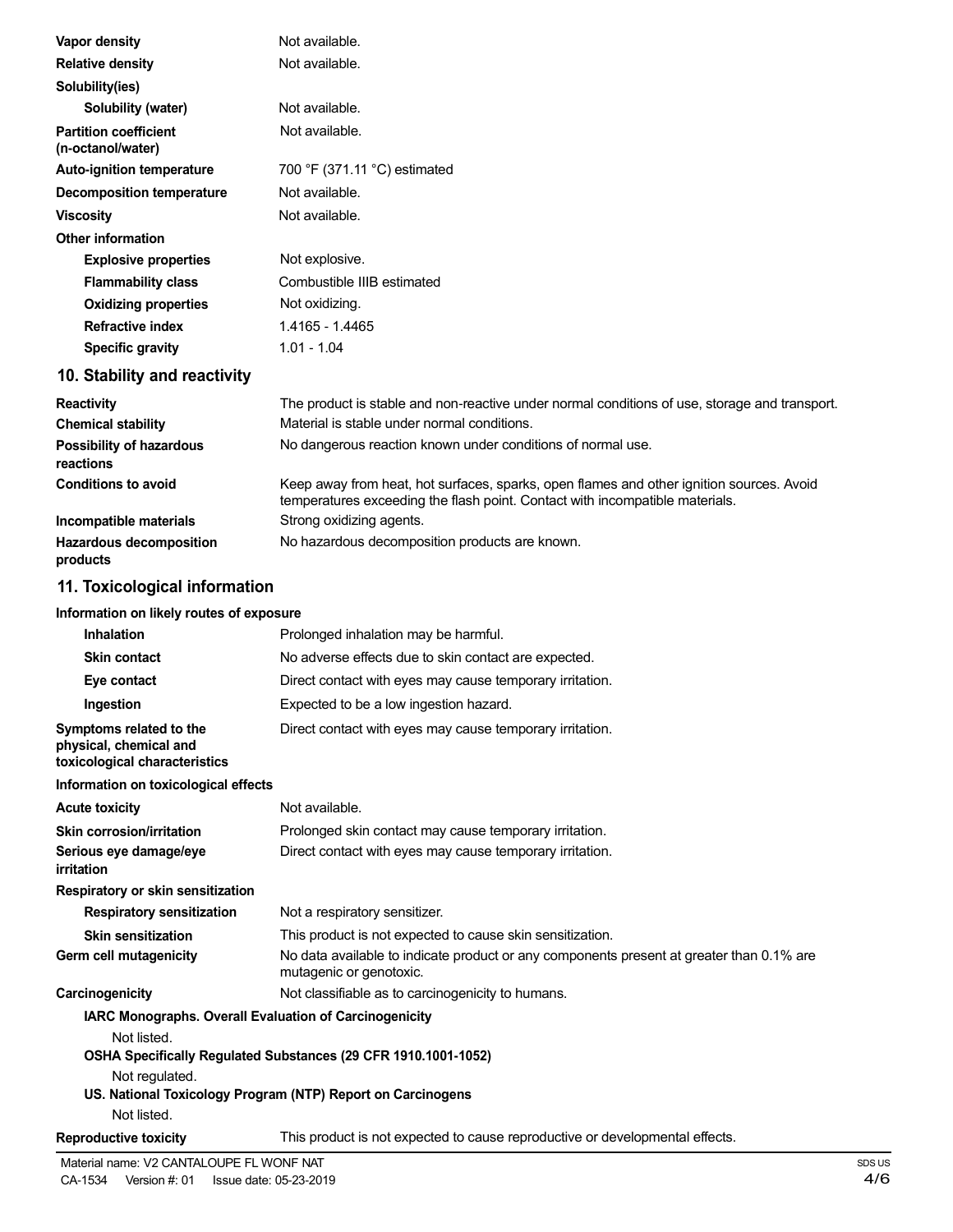| Vapor density                                                                      | Not available.                                                                                                                                                           |
|------------------------------------------------------------------------------------|--------------------------------------------------------------------------------------------------------------------------------------------------------------------------|
| <b>Relative density</b>                                                            | Not available.                                                                                                                                                           |
| Solubility(ies)                                                                    |                                                                                                                                                                          |
| Solubility (water)                                                                 | Not available.                                                                                                                                                           |
| <b>Partition coefficient</b><br>(n-octanol/water)                                  | Not available.                                                                                                                                                           |
| <b>Auto-ignition temperature</b>                                                   | 700 °F (371.11 °C) estimated                                                                                                                                             |
| <b>Decomposition temperature</b>                                                   | Not available.                                                                                                                                                           |
| <b>Viscosity</b>                                                                   | Not available.                                                                                                                                                           |
| <b>Other information</b>                                                           |                                                                                                                                                                          |
| <b>Explosive properties</b>                                                        | Not explosive.                                                                                                                                                           |
| <b>Flammability class</b>                                                          | Combustible IIIB estimated                                                                                                                                               |
| <b>Oxidizing properties</b>                                                        | Not oxidizing.                                                                                                                                                           |
| <b>Refractive index</b>                                                            | 1.4165 - 1.4465                                                                                                                                                          |
| <b>Specific gravity</b>                                                            | $1.01 - 1.04$                                                                                                                                                            |
| 10. Stability and reactivity                                                       |                                                                                                                                                                          |
| <b>Reactivity</b>                                                                  | The product is stable and non-reactive under normal conditions of use, storage and transport.                                                                            |
| <b>Chemical stability</b>                                                          | Material is stable under normal conditions.                                                                                                                              |
| <b>Possibility of hazardous</b><br>reactions                                       | No dangerous reaction known under conditions of normal use.                                                                                                              |
| <b>Conditions to avoid</b>                                                         | Keep away from heat, hot surfaces, sparks, open flames and other ignition sources. Avoid<br>temperatures exceeding the flash point. Contact with incompatible materials. |
| Incompatible materials                                                             | Strong oxidizing agents.                                                                                                                                                 |
| <b>Hazardous decomposition</b><br>products                                         | No hazardous decomposition products are known.                                                                                                                           |
| 11. Toxicological information                                                      |                                                                                                                                                                          |
| Information on likely routes of exposure                                           |                                                                                                                                                                          |
| <b>Inhalation</b>                                                                  | Prolonged inhalation may be harmful.                                                                                                                                     |
| <b>Skin contact</b>                                                                | No adverse effects due to skin contact are expected.                                                                                                                     |
| Eye contact                                                                        | Direct contact with eyes may cause temporary irritation.                                                                                                                 |
| Ingestion                                                                          | Expected to be a low ingestion hazard.                                                                                                                                   |
| Symptoms related to the<br>physical, chemical and<br>toxicological characteristics | Direct contact with eyes may cause temporary irritation.                                                                                                                 |
| Information on toxicological effects                                               |                                                                                                                                                                          |
| <b>Acute toxicity</b>                                                              | Not available.                                                                                                                                                           |
| <b>Skin corrosion/irritation</b>                                                   | Prolonged skin contact may cause temporary irritation.                                                                                                                   |
| Serious eye damage/eye<br><i>irritation</i>                                        | Direct contact with eyes may cause temporary irritation.                                                                                                                 |
| Respiratory or skin sensitization                                                  |                                                                                                                                                                          |
| <b>Respiratory sensitization</b>                                                   | Not a respiratory sensitizer.                                                                                                                                            |
| <b>Skin sensitization</b>                                                          | This product is not expected to cause skin sensitization.                                                                                                                |
| Germ cell mutagenicity                                                             | No data available to indicate product or any components present at greater than 0.1% are<br>mutagenic or genotoxic.                                                      |
| Carcinogenicity                                                                    | Not classifiable as to carcinogenicity to humans.                                                                                                                        |
| IARC Monographs. Overall Evaluation of Carcinogenicity                             |                                                                                                                                                                          |
| Not listed.                                                                        | OSHA Specifically Regulated Substances (29 CFR 1910.1001-1052)                                                                                                           |
| Not regulated.                                                                     | US. National Toxicology Program (NTP) Report on Carcinogens                                                                                                              |

Not listed.

**Reproductive toxicity** This product is not expected to cause reproductive or developmental effects.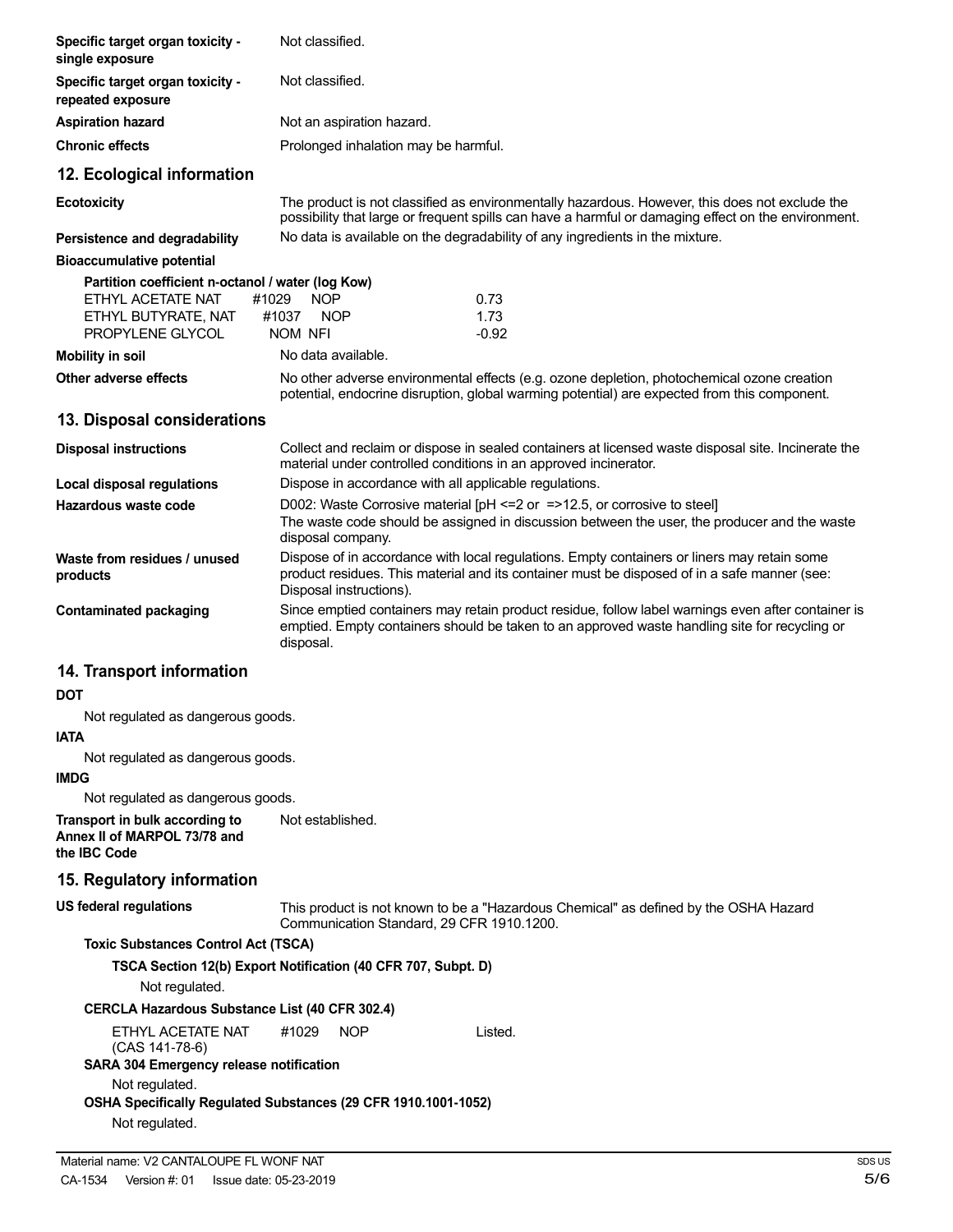| Specific target organ toxicity -<br>single exposure                                           | Not classified.                                                                                                                                                                                                        |
|-----------------------------------------------------------------------------------------------|------------------------------------------------------------------------------------------------------------------------------------------------------------------------------------------------------------------------|
| Specific target organ toxicity -<br>repeated exposure                                         | Not classified.                                                                                                                                                                                                        |
| <b>Aspiration hazard</b>                                                                      | Not an aspiration hazard.                                                                                                                                                                                              |
| <b>Chronic effects</b>                                                                        | Prolonged inhalation may be harmful.                                                                                                                                                                                   |
| 12. Ecological information                                                                    |                                                                                                                                                                                                                        |
| <b>Ecotoxicity</b>                                                                            | The product is not classified as environmentally hazardous. However, this does not exclude the<br>possibility that large or frequent spills can have a harmful or damaging effect on the environment.                  |
| Persistence and degradability                                                                 | No data is available on the degradability of any ingredients in the mixture.                                                                                                                                           |
| <b>Bioaccumulative potential</b>                                                              |                                                                                                                                                                                                                        |
| Partition coefficient n-octanol / water (log Kow)<br>ETHYL ACETATE NAT<br>ETHYL BUTYRATE, NAT | #1029<br><b>NOP</b><br>0.73<br>#1037<br>1.73<br><b>NOP</b>                                                                                                                                                             |
| PROPYLENE GLYCOL                                                                              | NOM NFI<br>$-0.92$                                                                                                                                                                                                     |
| <b>Mobility in soil</b>                                                                       | No data available.                                                                                                                                                                                                     |
| Other adverse effects                                                                         | No other adverse environmental effects (e.g. ozone depletion, photochemical ozone creation<br>potential, endocrine disruption, global warming potential) are expected from this component.                             |
| 13. Disposal considerations                                                                   |                                                                                                                                                                                                                        |
| <b>Disposal instructions</b>                                                                  | Collect and reclaim or dispose in sealed containers at licensed waste disposal site. Incinerate the<br>material under controlled conditions in an approved incinerator.                                                |
| <b>Local disposal regulations</b>                                                             | Dispose in accordance with all applicable regulations.                                                                                                                                                                 |
| Hazardous waste code                                                                          | D002: Waste Corrosive material $[PH \le 2$ or $= > 12.5$ , or corrosive to steel<br>The waste code should be assigned in discussion between the user, the producer and the waste<br>disposal company.                  |
| Waste from residues / unused<br>products                                                      | Dispose of in accordance with local regulations. Empty containers or liners may retain some<br>product residues. This material and its container must be disposed of in a safe manner (see:<br>Disposal instructions). |
| <b>Contaminated packaging</b>                                                                 | Since emptied containers may retain product residue, follow label warnings even after container is<br>emptied. Empty containers should be taken to an approved waste handling site for recycling or<br>disposal.       |
| 14. Transport information                                                                     |                                                                                                                                                                                                                        |
| DOT                                                                                           |                                                                                                                                                                                                                        |
| Not regulated as dangerous goods.<br><b>IATA</b>                                              |                                                                                                                                                                                                                        |
| Not regulated as dangerous goods.                                                             |                                                                                                                                                                                                                        |
| <b>IMDG</b>                                                                                   |                                                                                                                                                                                                                        |
| Not regulated as dangerous goods.                                                             |                                                                                                                                                                                                                        |
| Transport in bulk according to<br>Annex II of MARPOL 73/78 and<br>the IBC Code                | Not established.                                                                                                                                                                                                       |
| 15. Regulatory information                                                                    |                                                                                                                                                                                                                        |
| <b>US federal regulations</b>                                                                 | This product is not known to be a "Hazardous Chemical" as defined by the OSHA Hazard<br>Communication Standard, 29 CFR 1910.1200.                                                                                      |
| <b>Toxic Substances Control Act (TSCA)</b>                                                    |                                                                                                                                                                                                                        |
| Not regulated.                                                                                | TSCA Section 12(b) Export Notification (40 CFR 707, Subpt. D)                                                                                                                                                          |
| <b>CERCLA Hazardous Substance List (40 CFR 302.4)</b>                                         |                                                                                                                                                                                                                        |
| ETHYL ACETATE NAT<br>$(CAS 141-78-6)$<br>SARA 304 Emergency release notification              | #1029<br>NOP<br>Listed.                                                                                                                                                                                                |
| Not regulated.<br>Not regulated.                                                              | OSHA Specifically Regulated Substances (29 CFR 1910.1001-1052)                                                                                                                                                         |